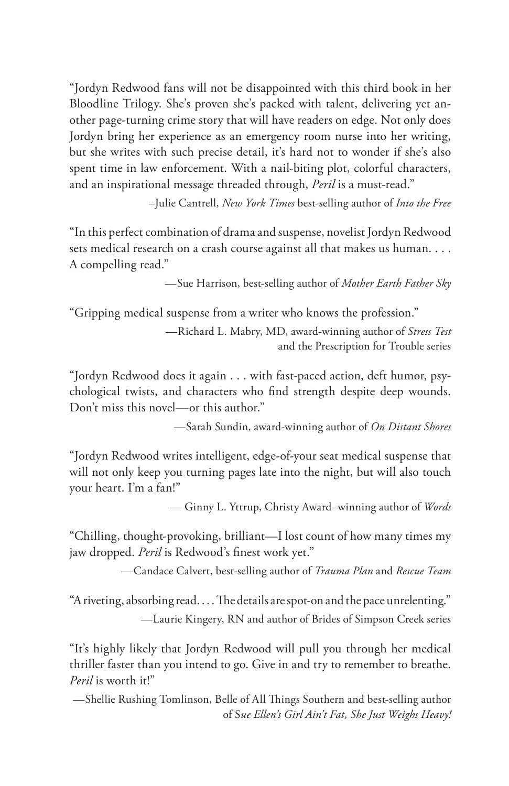"Jordyn Redwood fans will not be disappointed with this third book in her Bloodline Trilogy. She's proven she's packed with talent, delivering yet another page-turning crime story that will have readers on edge. Not only does Jordyn bring her experience as an emergency room nurse into her writing, but she writes with such precise detail, it's hard not to wonder if she's also spent time in law enforcement. With a nail-biting plot, colorful characters, and an inspirational message threaded through, *Peril* is a must-read."

–Julie Cantrell, *New York Times* best-selling author of *Into the Free*

"In this perfect combination of drama and suspense, novelist Jordyn Redwood sets medical research on a crash course against all that makes us human. . . . A compelling read."

—Sue Harrison, best-selling author of *Mother Earth Father Sky*

"Gripping medical suspense from a writer who knows the profession."

—Richard L. Mabry, MD, award-winning author of *Stress Test*  and the Prescription for Trouble series

"Jordyn Redwood does it again . . . with fast-paced action, deft humor, psychological twists, and characters who find strength despite deep wounds. Don't miss this novel—or this author."

—Sarah Sundin, award-winning author of *On Distant Shores*

"Jordyn Redwood writes intelligent, edge-of-your seat medical suspense that will not only keep you turning pages late into the night, but will also touch your heart. I'm a fan!"

— Ginny L. Yttrup, Christy Award–winning author of *Words*

"Chilling, thought-provoking, brilliant—I lost count of how many times my jaw dropped. *Peril* is Redwood's finest work yet."

—Candace Calvert, best-selling author of *Trauma Plan* and *Rescue Team* 

"A riveting, absorbing read. . . . The details are spot-on and the pace unrelenting."

—Laurie Kingery, RN and author of Brides of Simpson Creek series

"It's highly likely that Jordyn Redwood will pull you through her medical thriller faster than you intend to go. Give in and try to remember to breathe. *Peril* is worth it!"

—Shellie Rushing Tomlinson, Belle of All Things Southern and best-selling author of S*ue Ellen's Girl Ain't Fat, She Just Weighs Heavy!*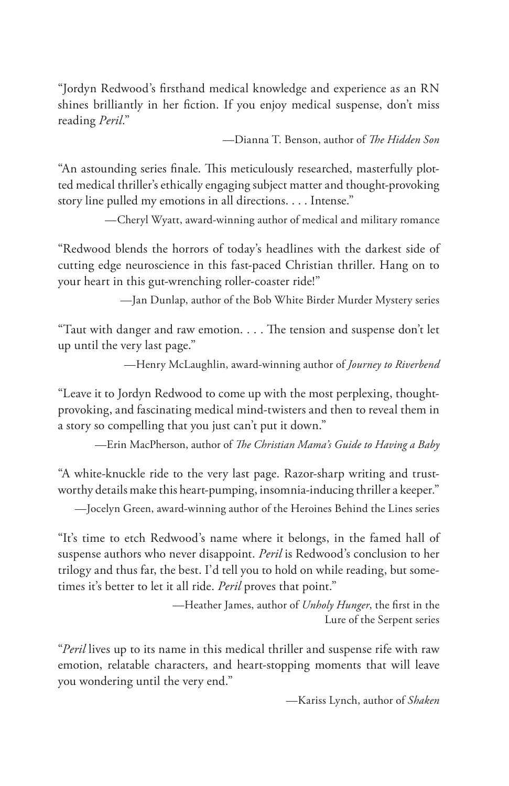"Jordyn Redwood's firsthand medical knowledge and experience as an RN shines brilliantly in her fiction. If you enjoy medical suspense, don't miss reading *Peril*."

—Dianna T. Benson, author of *The Hidden Son*

"An astounding series finale. This meticulously researched, masterfully plotted medical thriller's ethically engaging subject matter and thought-provoking story line pulled my emotions in all directions. . . . Intense."

—Cheryl Wyatt, award-winning author of medical and military romance

"Redwood blends the horrors of today's headlines with the darkest side of cutting edge neuroscience in this fast-paced Christian thriller. Hang on to your heart in this gut-wrenching roller-coaster ride!"

—Jan Dunlap, author of the Bob White Birder Murder Mystery series

"Taut with danger and raw emotion. . . . The tension and suspense don't let up until the very last page."

—Henry McLaughlin, award-winning author of *Journey to Riverbend*

"Leave it to Jordyn Redwood to come up with the most perplexing, thoughtprovoking, and fascinating medical mind-twisters and then to reveal them in a story so compelling that you just can't put it down."

—Erin MacPherson, author of *The Christian Mama's Guide to Having a Baby*

"A white-knuckle ride to the very last page. Razor-sharp writing and trustworthy details make this heart-pumping, insomnia-inducing thriller a keeper."

—Jocelyn Green, award-winning author of the Heroines Behind the Lines series

"It's time to etch Redwood's name where it belongs, in the famed hall of suspense authors who never disappoint. *Peril* is Redwood's conclusion to her trilogy and thus far, the best. I'd tell you to hold on while reading, but sometimes it's better to let it all ride. *Peril* proves that point."

> —Heather James, author of *Unholy Hunger*, the first in the Lure of the Serpent series

"*Peril* lives up to its name in this medical thriller and suspense rife with raw emotion, relatable characters, and heart-stopping moments that will leave you wondering until the very end."

—Kariss Lynch, author of *Shaken*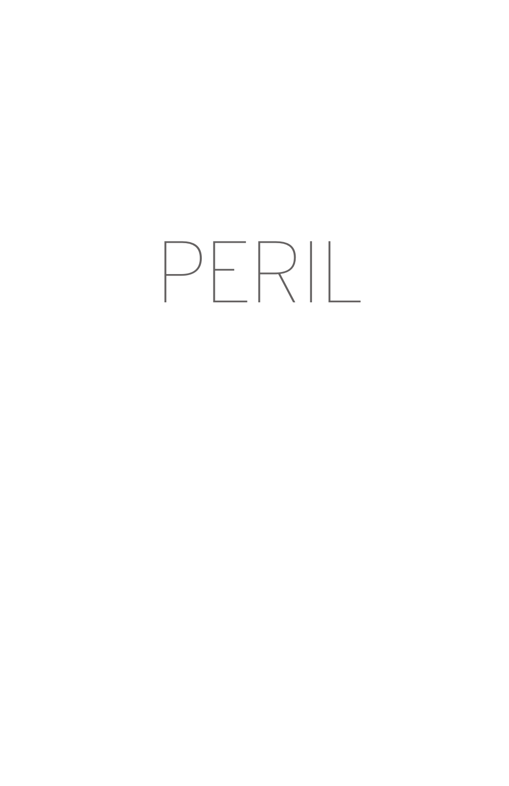# PERIL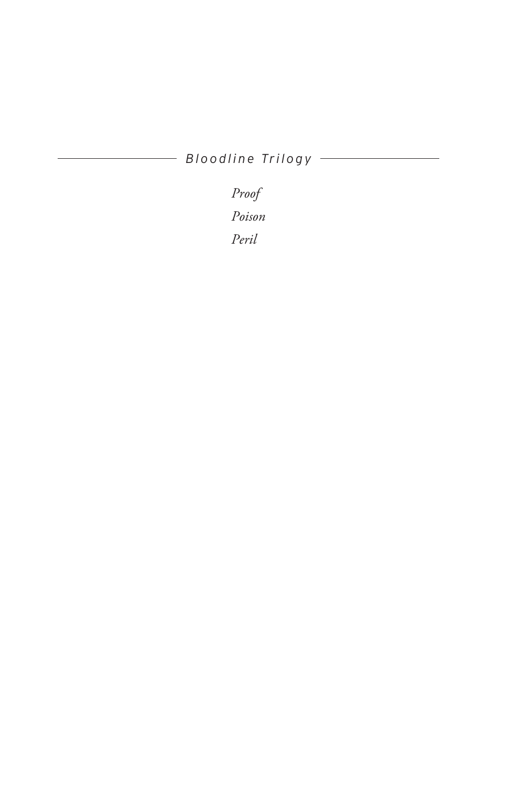*Bloodline Trilogy*

*Proof Poison Peril*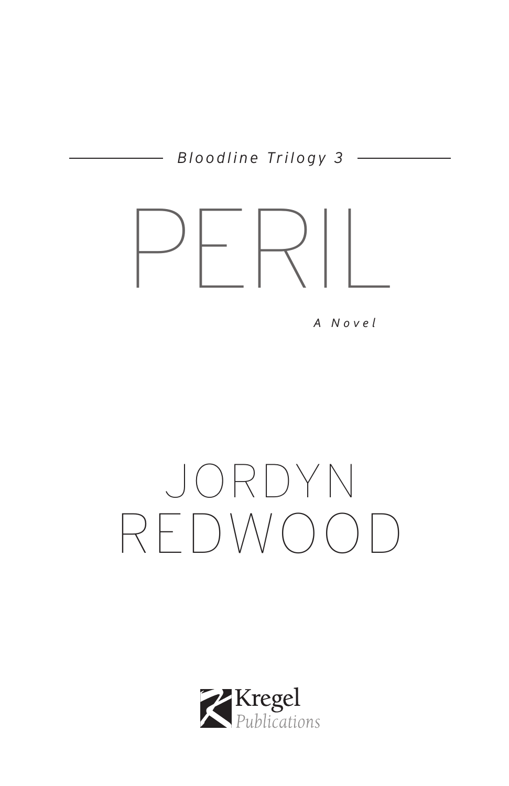*Bloodline Trilogy 3*



*A Novel*

# JORDYN REDWOOD

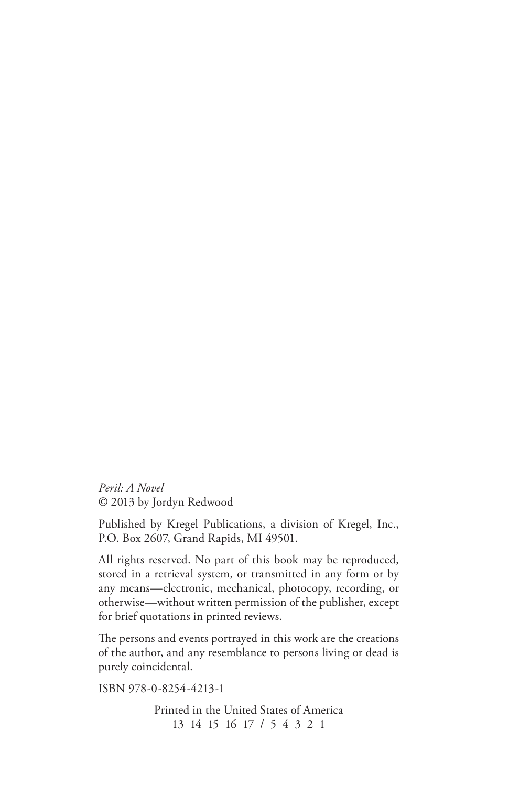*Peril: A Novel* © 2013 by Jordyn Redwood

Published by Kregel Publications, a division of Kregel, Inc., P.O. Box 2607, Grand Rapids, MI 49501.

All rights reserved. No part of this book may be reproduced, stored in a retrieval system, or transmitted in any form or by any means—electronic, mechanical, photocopy, recording, or otherwise—without written permission of the publisher, except for brief quotations in printed reviews.

The persons and events portrayed in this work are the creations of the author, and any resemblance to persons living or dead is purely coincidental.

ISBN 978-0-8254-4213-1

Printed in the United States of America 13 14 15 16 17 / 5 4 3 2 1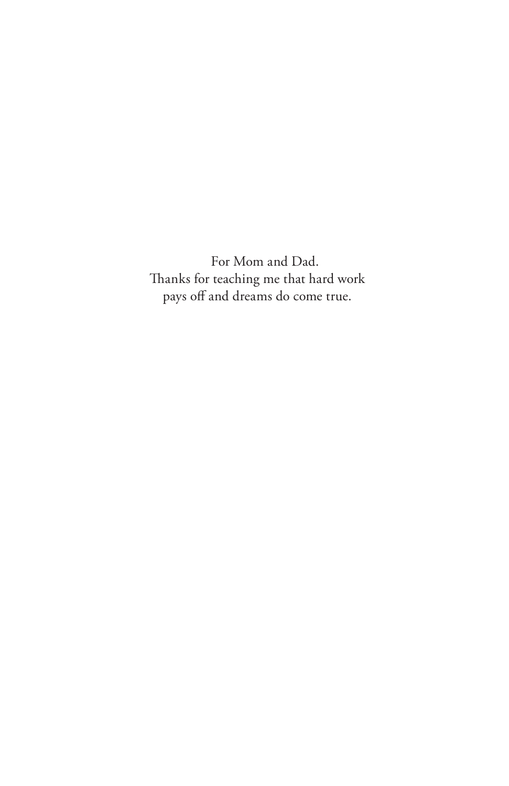For Mom and Dad. Thanks for teaching me that hard work pays off and dreams do come true.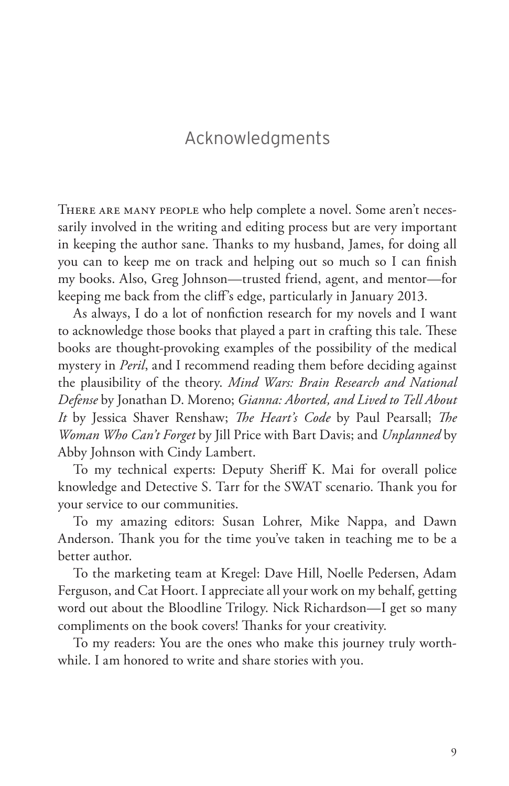## Acknowledgments

There are many people who help complete a novel. Some aren't necessarily involved in the writing and editing process but are very important in keeping the author sane. Thanks to my husband, James, for doing all you can to keep me on track and helping out so much so I can finish my books. Also, Greg Johnson—trusted friend, agent, and mentor—for keeping me back from the cliff's edge, particularly in January 2013.

As always, I do a lot of nonfiction research for my novels and I want to acknowledge those books that played a part in crafting this tale. These books are thought-provoking examples of the possibility of the medical mystery in *Peril*, and I recommend reading them before deciding against the plausibility of the theory. *Mind Wars: Brain Research and National Defense* by Jonathan D. Moreno; *Gianna: Aborted, and Lived to Tell About It* by Jessica Shaver Renshaw; *The Heart's Code* by Paul Pearsall; *The Woman Who Can't Forget* by Jill Price with Bart Davis; and *Unplanned* by Abby Johnson with Cindy Lambert.

To my technical experts: Deputy Sheriff K. Mai for overall police knowledge and Detective S. Tarr for the SWAT scenario. Thank you for your service to our communities.

To my amazing editors: Susan Lohrer, Mike Nappa, and Dawn Anderson. Thank you for the time you've taken in teaching me to be a better author.

To the marketing team at Kregel: Dave Hill, Noelle Pedersen, Adam Ferguson, and Cat Hoort. I appreciate all your work on my behalf, getting word out about the Bloodline Trilogy. Nick Richardson—I get so many compliments on the book covers! Thanks for your creativity.

To my readers: You are the ones who make this journey truly worthwhile. I am honored to write and share stories with you.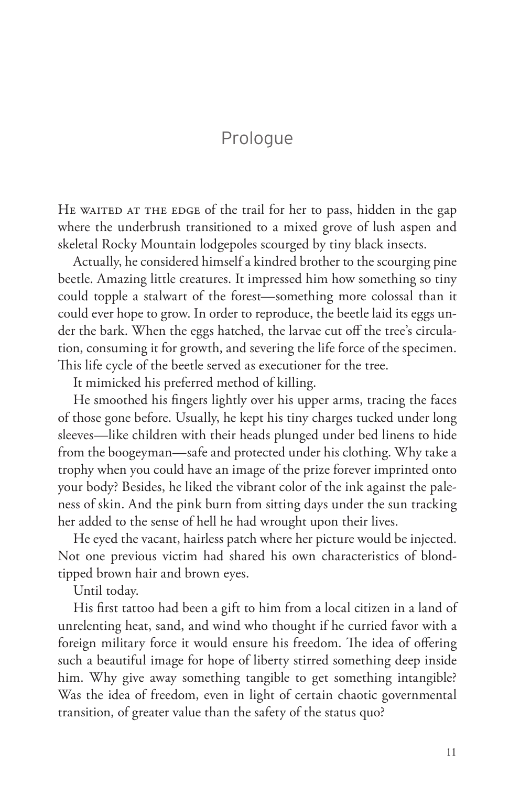## Prologue

HE WAITED AT THE EDGE of the trail for her to pass, hidden in the gap where the underbrush transitioned to a mixed grove of lush aspen and skeletal Rocky Mountain lodgepoles scourged by tiny black insects.

Actually, he considered himself a kindred brother to the scourging pine beetle. Amazing little creatures. It impressed him how something so tiny could topple a stalwart of the forest—something more colossal than it could ever hope to grow. In order to reproduce, the beetle laid its eggs under the bark. When the eggs hatched, the larvae cut off the tree's circulation, consuming it for growth, and severing the life force of the specimen. This life cycle of the beetle served as executioner for the tree.

It mimicked his preferred method of killing.

He smoothed his fingers lightly over his upper arms, tracing the faces of those gone before. Usually, he kept his tiny charges tucked under long sleeves—like children with their heads plunged under bed linens to hide from the boogeyman—safe and protected under his clothing. Why take a trophy when you could have an image of the prize forever imprinted onto your body? Besides, he liked the vibrant color of the ink against the paleness of skin. And the pink burn from sitting days under the sun tracking her added to the sense of hell he had wrought upon their lives.

He eyed the vacant, hairless patch where her picture would be injected. Not one previous victim had shared his own characteristics of blondtipped brown hair and brown eyes.

Until today.

His first tattoo had been a gift to him from a local citizen in a land of unrelenting heat, sand, and wind who thought if he curried favor with a foreign military force it would ensure his freedom. The idea of offering such a beautiful image for hope of liberty stirred something deep inside him. Why give away something tangible to get something intangible? Was the idea of freedom, even in light of certain chaotic governmental transition, of greater value than the safety of the status quo?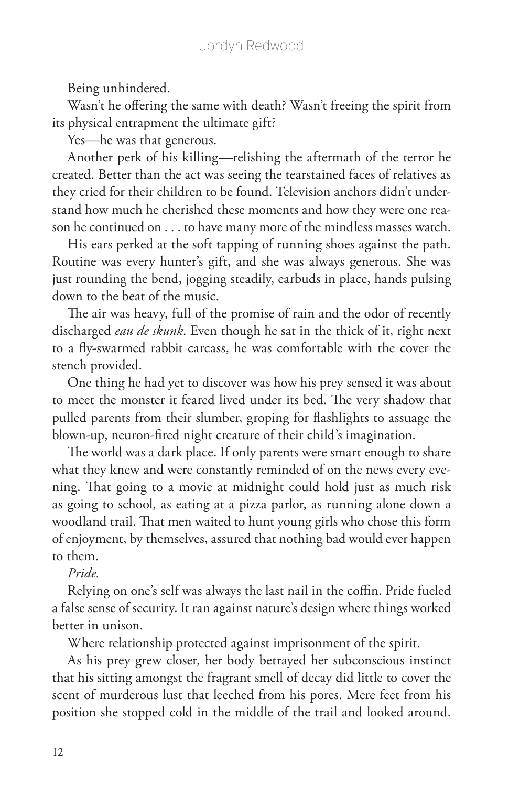Being unhindered.

Wasn't he offering the same with death? Wasn't freeing the spirit from its physical entrapment the ultimate gift?

Yes—he was that generous.

Another perk of his killing—relishing the aftermath of the terror he created. Better than the act was seeing the tearstained faces of relatives as they cried for their children to be found. Television anchors didn't understand how much he cherished these moments and how they were one reason he continued on . . . to have many more of the mindless masses watch.

His ears perked at the soft tapping of running shoes against the path. Routine was every hunter's gift, and she was always generous. She was just rounding the bend, jogging steadily, earbuds in place, hands pulsing down to the beat of the music.

The air was heavy, full of the promise of rain and the odor of recently discharged *eau de skunk*. Even though he sat in the thick of it, right next to a fly-swarmed rabbit carcass, he was comfortable with the cover the stench provided.

One thing he had yet to discover was how his prey sensed it was about to meet the monster it feared lived under its bed. The very shadow that pulled parents from their slumber, groping for flashlights to assuage the blown-up, neuron-fired night creature of their child's imagination.

The world was a dark place. If only parents were smart enough to share what they knew and were constantly reminded of on the news every evening. That going to a movie at midnight could hold just as much risk as going to school, as eating at a pizza parlor, as running alone down a woodland trail. That men waited to hunt young girls who chose this form of enjoyment, by themselves, assured that nothing bad would ever happen to them.

#### *Pride.*

Relying on one's self was always the last nail in the coffin. Pride fueled a false sense of security. It ran against nature's design where things worked better in unison.

Where relationship protected against imprisonment of the spirit.

As his prey grew closer, her body betrayed her subconscious instinct that his sitting amongst the fragrant smell of decay did little to cover the scent of murderous lust that leeched from his pores. Mere feet from his position she stopped cold in the middle of the trail and looked around.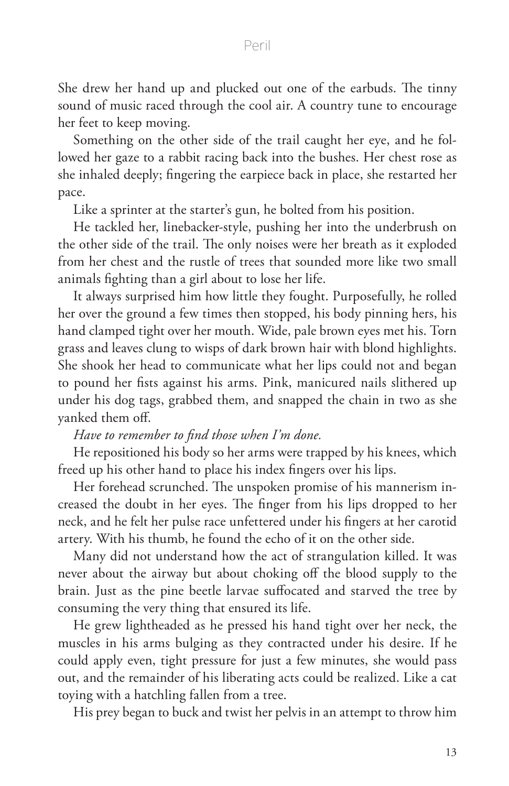#### Peril

She drew her hand up and plucked out one of the earbuds. The tinny sound of music raced through the cool air. A country tune to encourage her feet to keep moving.

Something on the other side of the trail caught her eye, and he followed her gaze to a rabbit racing back into the bushes. Her chest rose as she inhaled deeply; fingering the earpiece back in place, she restarted her pace.

Like a sprinter at the starter's gun, he bolted from his position.

He tackled her, linebacker-style, pushing her into the underbrush on the other side of the trail. The only noises were her breath as it exploded from her chest and the rustle of trees that sounded more like two small animals fighting than a girl about to lose her life.

It always surprised him how little they fought. Purposefully, he rolled her over the ground a few times then stopped, his body pinning hers, his hand clamped tight over her mouth. Wide, pale brown eyes met his. Torn grass and leaves clung to wisps of dark brown hair with blond highlights. She shook her head to communicate what her lips could not and began to pound her fists against his arms. Pink, manicured nails slithered up under his dog tags, grabbed them, and snapped the chain in two as she yanked them off.

*Have to remember to find those when I'm done.*

He repositioned his body so her arms were trapped by his knees, which freed up his other hand to place his index fingers over his lips.

Her forehead scrunched. The unspoken promise of his mannerism increased the doubt in her eyes. The finger from his lips dropped to her neck, and he felt her pulse race unfettered under his fingers at her carotid artery. With his thumb, he found the echo of it on the other side.

Many did not understand how the act of strangulation killed. It was never about the airway but about choking off the blood supply to the brain. Just as the pine beetle larvae suffocated and starved the tree by consuming the very thing that ensured its life.

He grew lightheaded as he pressed his hand tight over her neck, the muscles in his arms bulging as they contracted under his desire. If he could apply even, tight pressure for just a few minutes, she would pass out, and the remainder of his liberating acts could be realized. Like a cat toying with a hatchling fallen from a tree.

His prey began to buck and twist her pelvis in an attempt to throw him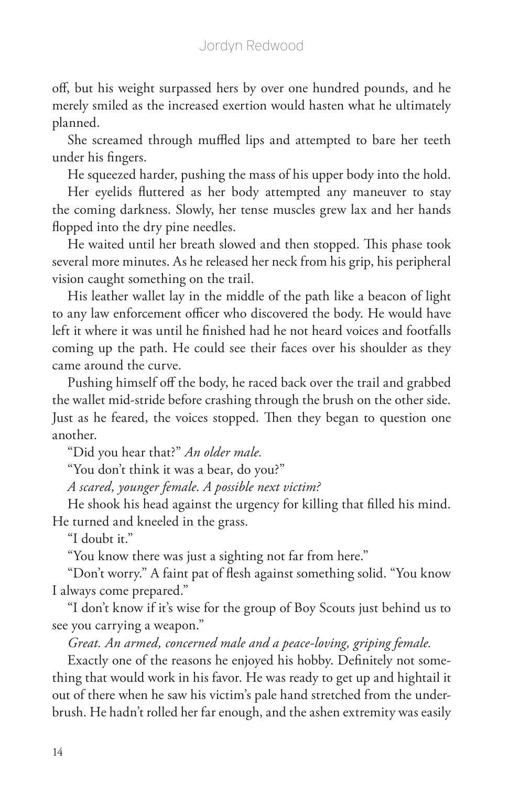off, but his weight surpassed hers by over one hundred pounds, and he merely smiled as the increased exertion would hasten what he ultimately planned.

She screamed through muffled lips and attempted to bare her teeth under his fingers.

He squeezed harder, pushing the mass of his upper body into the hold.

Her eyelids fluttered as her body attempted any maneuver to stay the coming darkness. Slowly, her tense muscles grew lax and her hands flopped into the dry pine needles.

He waited until her breath slowed and then stopped. This phase took several more minutes. As he released her neck from his grip, his peripheral vision caught something on the trail.

His leather wallet lay in the middle of the path like a beacon of light to any law enforcement officer who discovered the body. He would have left it where it was until he finished had he not heard voices and footfalls coming up the path. He could see their faces over his shoulder as they came around the curve.

Pushing himself off the body, he raced back over the trail and grabbed the wallet mid-stride before crashing through the brush on the other side. Just as he feared, the voices stopped. Then they began to question one another.

"Did you hear that?" *An older male.*

"You don't think it was a bear, do you?"

*A scared, younger female*. *A possible next victim?*

He shook his head against the urgency for killing that filled his mind. He turned and kneeled in the grass.

"I doubt it."

"You know there was just a sighting not far from here."

"Don't worry." A faint pat of flesh against something solid. "You know I always come prepared."

"I don't know if it's wise for the group of Boy Scouts just behind us to see you carrying a weapon."

*Great. An armed, concerned male and a peace-loving, griping female.* 

Exactly one of the reasons he enjoyed his hobby. Definitely not something that would work in his favor. He was ready to get up and hightail it out of there when he saw his victim's pale hand stretched from the underbrush. He hadn't rolled her far enough, and the ashen extremity was easily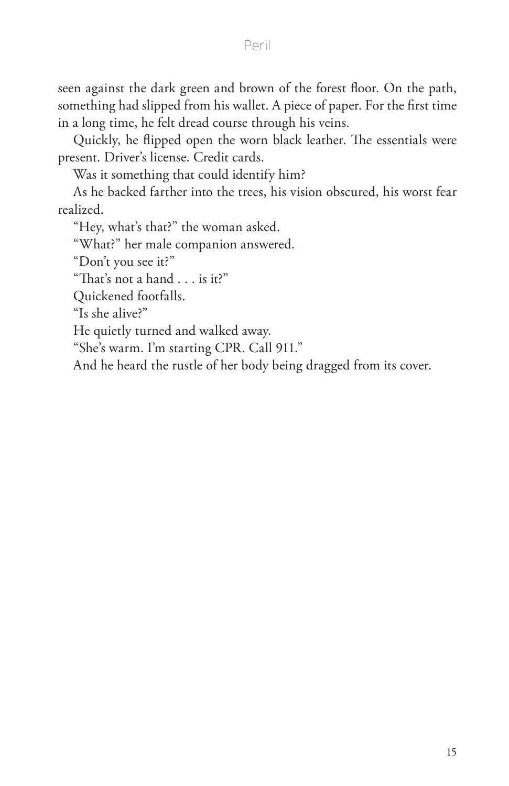#### Peril

seen against the dark green and brown of the forest floor. On the path, something had slipped from his wallet. A piece of paper. For the first time in a long time, he felt dread course through his veins.

Quickly, he flipped open the worn black leather. The essentials were present. Driver's license. Credit cards.

Was it something that could identify him?

As he backed farther into the trees, his vision obscured, his worst fear realized.

"Hey, what's that?" the woman asked.

"What?" her male companion answered.

"Don't you see it?"

"That's not a hand . . . is it?"

Quickened footfalls.

"Is she alive?"

He quietly turned and walked away.

"She's warm. I'm starting CPR. Call 911."

And he heard the rustle of her body being dragged from its cover.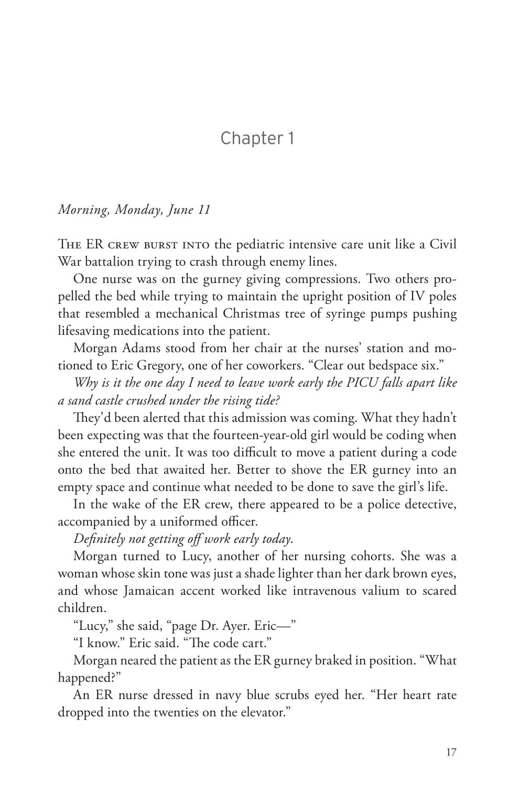# Chapter 1

*Morning, Monday, June 11*

THE ER CREW BURST INTO the pediatric intensive care unit like a Civil War battalion trying to crash through enemy lines.

One nurse was on the gurney giving compressions. Two others propelled the bed while trying to maintain the upright position of IV poles that resembled a mechanical Christmas tree of syringe pumps pushing lifesaving medications into the patient.

Morgan Adams stood from her chair at the nurses' station and motioned to Eric Gregory, one of her coworkers. "Clear out bedspace six."

*Why is it the one day I need to leave work early the PICU falls apart like a sand castle crushed under the rising tide?*

They'd been alerted that this admission was coming. What they hadn't been expecting was that the fourteen-year-old girl would be coding when she entered the unit. It was too difficult to move a patient during a code onto the bed that awaited her. Better to shove the ER gurney into an empty space and continue what needed to be done to save the girl's life.

In the wake of the ER crew, there appeared to be a police detective, accompanied by a uniformed officer.

*Definitely not getting off work early today*.

Morgan turned to Lucy, another of her nursing cohorts. She was a woman whose skin tone was just a shade lighter than her dark brown eyes, and whose Jamaican accent worked like intravenous valium to scared children.

"Lucy," she said, "page Dr. Ayer. Eric—"

"I know." Eric said. "The code cart."

Morgan neared the patient as the ER gurney braked in position. "What happened?"

An ER nurse dressed in navy blue scrubs eyed her. "Her heart rate dropped into the twenties on the elevator."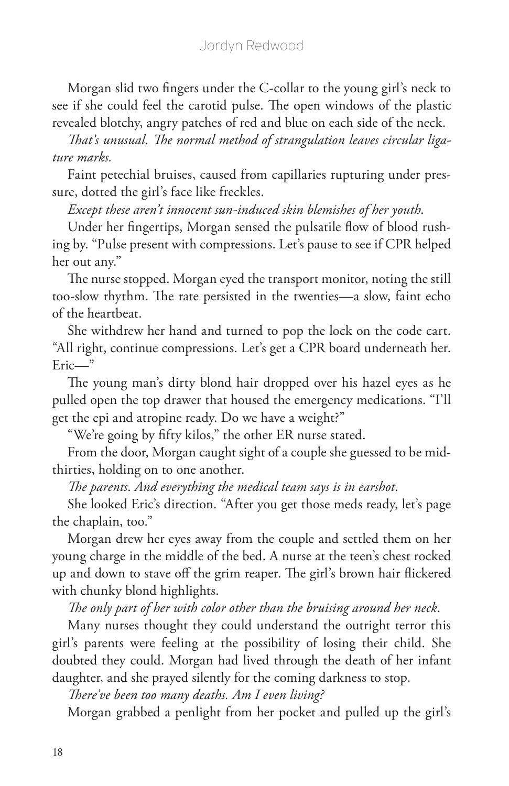Morgan slid two fingers under the C-collar to the young girl's neck to see if she could feel the carotid pulse. The open windows of the plastic revealed blotchy, angry patches of red and blue on each side of the neck.

*That's unusual. The normal method of strangulation leaves circular ligature marks.* 

Faint petechial bruises, caused from capillaries rupturing under pressure, dotted the girl's face like freckles.

*Except these aren't innocent sun-induced skin blemishes of her youth*.

Under her fingertips, Morgan sensed the pulsatile flow of blood rushing by. "Pulse present with compressions. Let's pause to see if CPR helped her out any."

The nurse stopped. Morgan eyed the transport monitor, noting the still too-slow rhythm. The rate persisted in the twenties—a slow, faint echo of the heartbeat.

She withdrew her hand and turned to pop the lock on the code cart. "All right, continue compressions. Let's get a CPR board underneath her. Eric—"

The young man's dirty blond hair dropped over his hazel eyes as he pulled open the top drawer that housed the emergency medications. "I'll get the epi and atropine ready. Do we have a weight?"

"We're going by fifty kilos," the other ER nurse stated.

From the door, Morgan caught sight of a couple she guessed to be midthirties, holding on to one another.

*The parents*. *And everything the medical team says is in earshot*.

She looked Eric's direction. "After you get those meds ready, let's page the chaplain, too."

Morgan drew her eyes away from the couple and settled them on her young charge in the middle of the bed. A nurse at the teen's chest rocked up and down to stave off the grim reaper. The girl's brown hair flickered with chunky blond highlights.

*The only part of her with color other than the bruising around her neck*.

Many nurses thought they could understand the outright terror this girl's parents were feeling at the possibility of losing their child. She doubted they could. Morgan had lived through the death of her infant daughter, and she prayed silently for the coming darkness to stop.

*There've been too many deaths. Am I even living?*

Morgan grabbed a penlight from her pocket and pulled up the girl's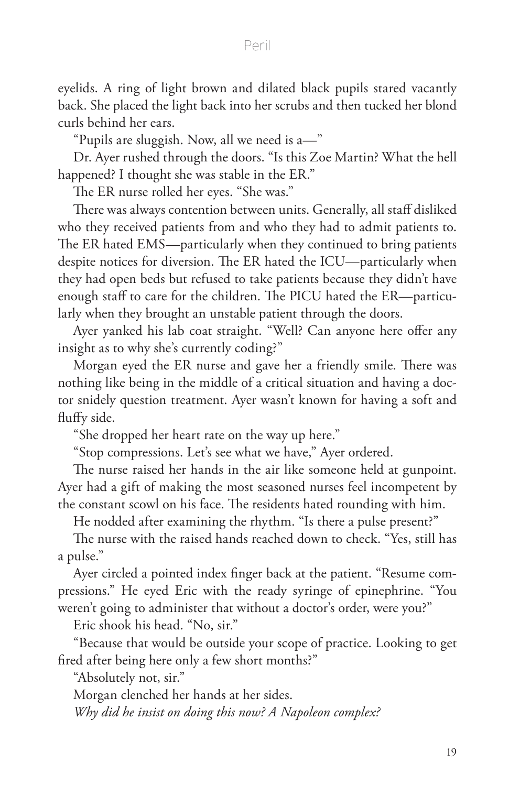#### Peril

eyelids. A ring of light brown and dilated black pupils stared vacantly back. She placed the light back into her scrubs and then tucked her blond curls behind her ears.

"Pupils are sluggish. Now, all we need is a—"

Dr. Ayer rushed through the doors. "Is this Zoe Martin? What the hell happened? I thought she was stable in the ER."

The ER nurse rolled her eyes. "She was."

There was always contention between units. Generally, all staff disliked who they received patients from and who they had to admit patients to. The ER hated EMS—particularly when they continued to bring patients despite notices for diversion. The ER hated the ICU—particularly when they had open beds but refused to take patients because they didn't have enough staff to care for the children. The PICU hated the ER—particularly when they brought an unstable patient through the doors.

Ayer yanked his lab coat straight. "Well? Can anyone here offer any insight as to why she's currently coding?"

Morgan eyed the ER nurse and gave her a friendly smile. There was nothing like being in the middle of a critical situation and having a doctor snidely question treatment. Ayer wasn't known for having a soft and fluffy side.

"She dropped her heart rate on the way up here."

"Stop compressions. Let's see what we have," Ayer ordered.

The nurse raised her hands in the air like someone held at gunpoint. Ayer had a gift of making the most seasoned nurses feel incompetent by the constant scowl on his face. The residents hated rounding with him.

He nodded after examining the rhythm. "Is there a pulse present?"

The nurse with the raised hands reached down to check. "Yes, still has a pulse."

Ayer circled a pointed index finger back at the patient. "Resume compressions." He eyed Eric with the ready syringe of epinephrine. "You weren't going to administer that without a doctor's order, were you?"

Eric shook his head. "No, sir."

"Because that would be outside your scope of practice. Looking to get fired after being here only a few short months?"

"Absolutely not, sir."

Morgan clenched her hands at her sides.

*Why did he insist on doing this now? A Napoleon complex?*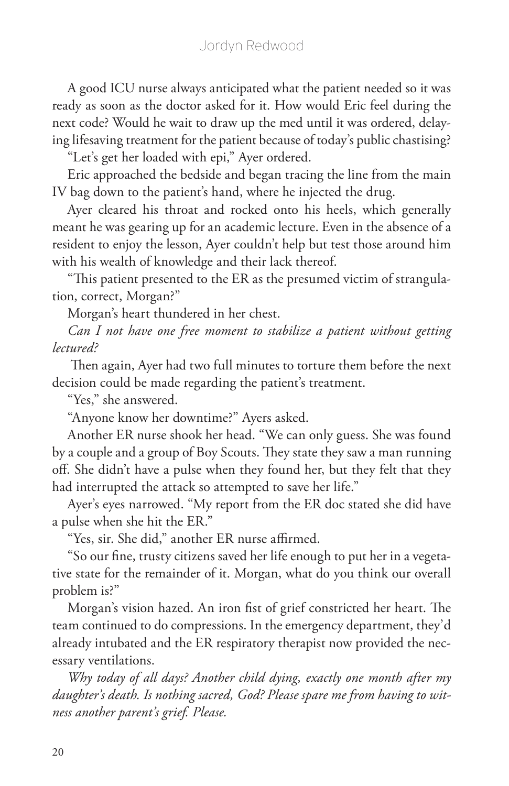A good ICU nurse always anticipated what the patient needed so it was ready as soon as the doctor asked for it. How would Eric feel during the next code? Would he wait to draw up the med until it was ordered, delaying lifesaving treatment for the patient because of today's public chastising?

"Let's get her loaded with epi," Ayer ordered.

Eric approached the bedside and began tracing the line from the main IV bag down to the patient's hand, where he injected the drug.

Ayer cleared his throat and rocked onto his heels, which generally meant he was gearing up for an academic lecture. Even in the absence of a resident to enjoy the lesson, Ayer couldn't help but test those around him with his wealth of knowledge and their lack thereof.

"This patient presented to the ER as the presumed victim of strangulation, correct, Morgan?"

Morgan's heart thundered in her chest.

*Can I not have one free moment to stabilize a patient without getting lectured?*

 Then again, Ayer had two full minutes to torture them before the next decision could be made regarding the patient's treatment.

"Yes," she answered.

"Anyone know her downtime?" Ayers asked.

Another ER nurse shook her head. "We can only guess. She was found by a couple and a group of Boy Scouts. They state they saw a man running off. She didn't have a pulse when they found her, but they felt that they had interrupted the attack so attempted to save her life."

Ayer's eyes narrowed. "My report from the ER doc stated she did have a pulse when she hit the ER."

"Yes, sir. She did," another ER nurse affirmed.

"So our fine, trusty citizens saved her life enough to put her in a vegetative state for the remainder of it. Morgan, what do you think our overall problem is?"

Morgan's vision hazed. An iron fist of grief constricted her heart. The team continued to do compressions. In the emergency department, they'd already intubated and the ER respiratory therapist now provided the necessary ventilations.

*Why today of all days? Another child dying, exactly one month after my daughter's death. Is nothing sacred, God? Please spare me from having to witness another parent's grief. Please.*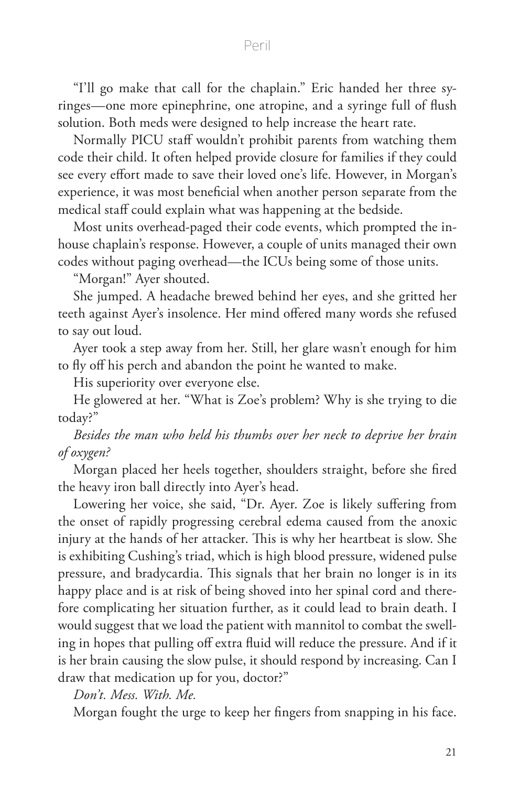"I'll go make that call for the chaplain." Eric handed her three syringes—one more epinephrine, one atropine, and a syringe full of flush solution. Both meds were designed to help increase the heart rate.

Normally PICU staff wouldn't prohibit parents from watching them code their child. It often helped provide closure for families if they could see every effort made to save their loved one's life. However, in Morgan's experience, it was most beneficial when another person separate from the medical staff could explain what was happening at the bedside.

Most units overhead-paged their code events, which prompted the inhouse chaplain's response. However, a couple of units managed their own codes without paging overhead—the ICUs being some of those units.

"Morgan!" Ayer shouted.

She jumped. A headache brewed behind her eyes, and she gritted her teeth against Ayer's insolence. Her mind offered many words she refused to say out loud.

Ayer took a step away from her. Still, her glare wasn't enough for him to fly off his perch and abandon the point he wanted to make.

His superiority over everyone else.

He glowered at her. "What is Zoe's problem? Why is she trying to die today?"

*Besides the man who held his thumbs over her neck to deprive her brain of oxygen?*

Morgan placed her heels together, shoulders straight, before she fired the heavy iron ball directly into Ayer's head.

Lowering her voice, she said, "Dr. Ayer. Zoe is likely suffering from the onset of rapidly progressing cerebral edema caused from the anoxic injury at the hands of her attacker. This is why her heartbeat is slow. She is exhibiting Cushing's triad, which is high blood pressure, widened pulse pressure, and bradycardia. This signals that her brain no longer is in its happy place and is at risk of being shoved into her spinal cord and therefore complicating her situation further, as it could lead to brain death. I would suggest that we load the patient with mannitol to combat the swelling in hopes that pulling off extra fluid will reduce the pressure. And if it is her brain causing the slow pulse, it should respond by increasing. Can I draw that medication up for you, doctor?"

*Don't. Mess. With. Me.*

Morgan fought the urge to keep her fingers from snapping in his face.